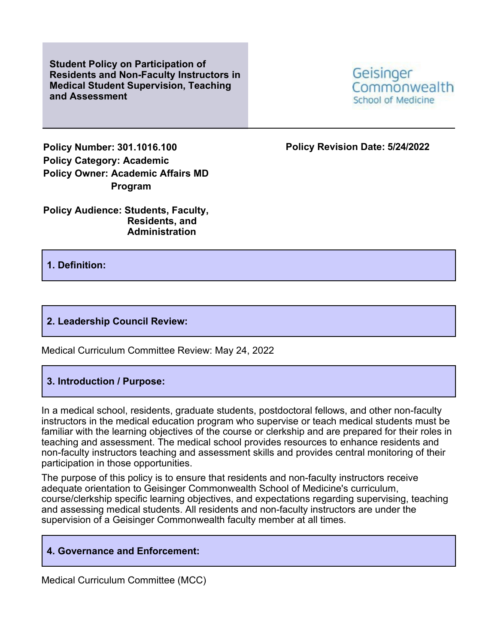**Student Policy on Participation of Residents and Non-Faculty Instructors in Medical Student Supervision, Teaching and Assessment**



**Policy Number: 301.1016.100 Policy Revision Date: 5/24/2022 Policy Category: Academic Policy Owner: Academic Affairs MD Program**

**Policy Audience: Students, Faculty, Residents, and Administration**

**1. Definition:**

## **2. Leadership Council Review:**

Medical Curriculum Committee Review: May 24, 2022

# **3. Introduction / Purpose:**

In a medical school, residents, graduate students, postdoctoral fellows, and other non-faculty instructors in the medical education program who supervise or teach medical students must be familiar with the learning objectives of the course or clerkship and are prepared for their roles in teaching and assessment. The medical school provides resources to enhance residents and non-faculty instructors teaching and assessment skills and provides central monitoring of their participation in those opportunities.

The purpose of this policy is to ensure that residents and non-faculty instructors receive adequate orientation to Geisinger Commonwealth School of Medicine's curriculum, course/clerkship specific learning objectives, and expectations regarding supervising, teaching and assessing medical students. All residents and non-faculty instructors are under the supervision of a Geisinger Commonwealth faculty member at all times.

## **4. Governance and Enforcement:**

Medical Curriculum Committee (MCC)